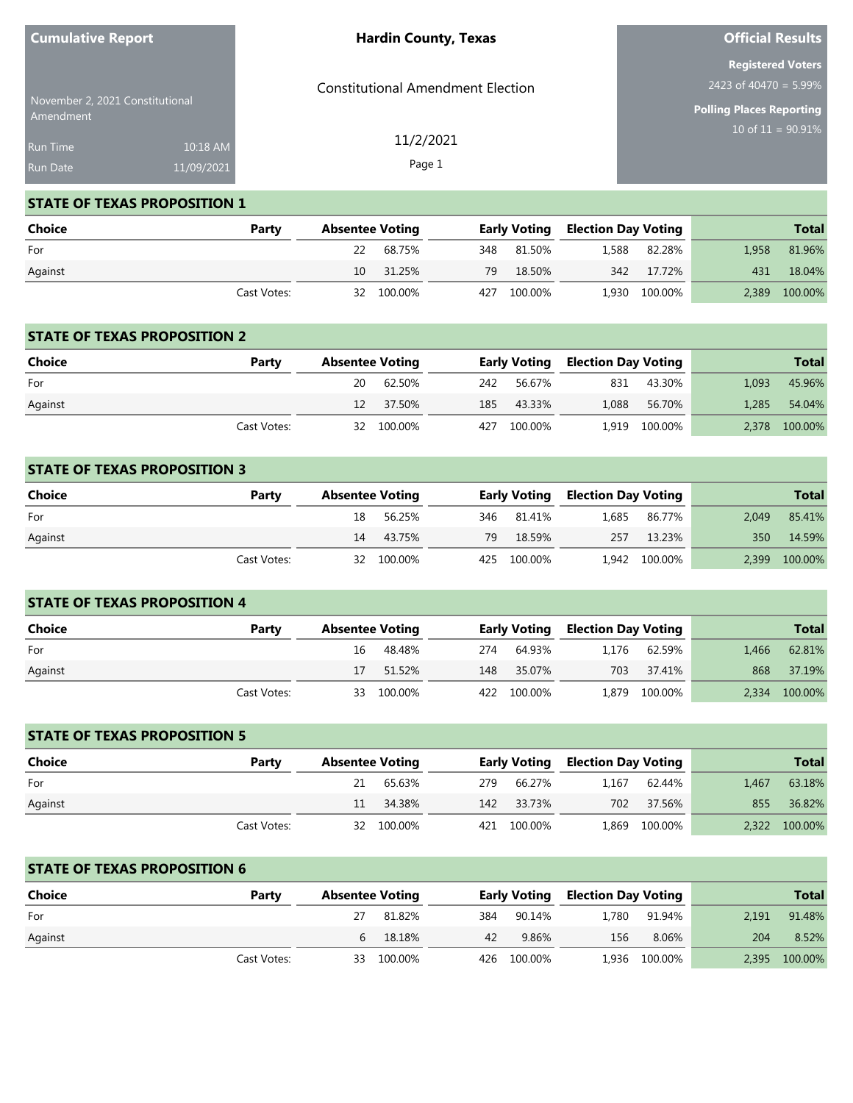| <b>Cumulative Report</b>        |            | <b>Hardin County, Texas</b>              | <b>Official Results</b>                              |  |  |
|---------------------------------|------------|------------------------------------------|------------------------------------------------------|--|--|
| November 2, 2021 Constitutional |            | <b>Constitutional Amendment Election</b> | <b>Registered Voters</b><br>2423 of 40470 = $5.99\%$ |  |  |
| Amendment                       |            |                                          | <b>Polling Places Reporting</b>                      |  |  |
| <b>Run Time</b>                 | 10:18 AM   | 11/2/2021                                | $10$ of $11 = 90.91\%$                               |  |  |
| Run Date                        | 11/09/2021 | Page 1                                   |                                                      |  |  |

**Official Results**

#### **STATE OF TEXAS PROPOSITION 1**

**Cumulative Report**

| <b>Choice</b> | Party       | <b>Absentee Voting</b> |            |             | <b>Early Voting Election Day Voting</b> |               |       | <b>Total</b>  |
|---------------|-------------|------------------------|------------|-------------|-----------------------------------------|---------------|-------|---------------|
| For           |             |                        | 22 68.75%  | 348 81.50%  |                                         | 1,588 82.28%  | 1.958 | 81.96%        |
| Against       |             |                        | 10 31.25%  | 79 18.50%   |                                         | 342 17.72%    | 431   | 18.04%        |
|               | Cast Votes: |                        | 32 100.00% | 427 100.00% |                                         | 1,930 100.00% |       | 2,389 100.00% |

#### **STATE OF TEXAS PROPOSITION 2**

| Choice  | Party       | <b>Absentee Voting</b> |            | <b>Early Voting Election Day Voting</b> |       |               |       | <b>Total</b>  |
|---------|-------------|------------------------|------------|-----------------------------------------|-------|---------------|-------|---------------|
| For     |             | 20                     | 62.50%     | 242 56.67%                              | 831   | 43.30%        | 1,093 | 45.96%        |
| Against |             |                        | 12 37.50%  | 185 43.33%                              | 1,088 | 56.70%        | 1.285 | 54.04%        |
|         | Cast Votes: |                        | 32 100.00% | 427 100.00%                             |       | 1,919 100.00% |       | 2,378 100.00% |

## **STATE OF TEXAS PROPOSITION 3**

| Choice  | Party       | <b>Absentee Voting</b> |            |             |  | <b>Early Voting Election Day Voting</b> |       | <b>Total</b>  |
|---------|-------------|------------------------|------------|-------------|--|-----------------------------------------|-------|---------------|
| For     |             |                        | 18 56.25%  | 346 81.41%  |  | 1,685 86.77%                            | 2.049 | 85.41%        |
| Against |             |                        | 14 43.75%  | 79 18.59%   |  | 257 13.23%                              | 350   | 14.59%        |
|         | Cast Votes: |                        | 32 100.00% | 425 100.00% |  | 1,942 100.00%                           |       | 2,399 100.00% |

| <b>STATE OF TEXAS PROPOSITION 4</b> |             |                        |            |     |                     |                            |               |       |              |  |
|-------------------------------------|-------------|------------------------|------------|-----|---------------------|----------------------------|---------------|-------|--------------|--|
| Choice                              | Party       | <b>Absentee Voting</b> |            |     | <b>Early Voting</b> | <b>Election Day Voting</b> |               |       | <b>Total</b> |  |
| For                                 |             | 16                     | 48.48%     | 274 | 64.93%              | 1.176                      | 62.59%        | 1.466 | 62.81%       |  |
| Against                             |             | 17                     | 51.52%     | 148 | 35.07%              | 703                        | 37.41%        | 868   | 37.19%       |  |
|                                     | Cast Votes: |                        | 33 100.00% |     | 422 100.00%         |                            | 1,879 100.00% | 2.334 | 100.00%      |  |

# **STATE OF TEXAS PROPOSITION 5 Choice Party Absentee Voting Early Voting Election Day Voting Total** For 21 65.63% 279 66.27% 1,167 62.44% 1,467 63.18% Against 11 34.38% 142 33.73% 702 37.56% 855 36.82% Cast Votes: 32 100.00% 421 100.00% 1,869 100.00% 2,322 100.00%

#### **STATE OF TEXAS PROPOSITION 6**

| Choice  | Party       | <b>Absentee Voting</b> |     | <b>Early Voting</b> |       | <b>Election Day Voting</b> |       | <b>Total</b>  |
|---------|-------------|------------------------|-----|---------------------|-------|----------------------------|-------|---------------|
| For     |             | 81.82%                 | 384 | 90.14%              | 1,780 | 91.94%                     | 2.191 | 91.48%        |
| Against |             | 6 18.18%               | 42  | 9.86%               | 156   | 8.06%                      | 204   | 8.52%         |
|         | Cast Votes: | 33 100.00%             |     | 426 100.00%         |       | 1,936 100.00%              |       | 2,395 100.00% |